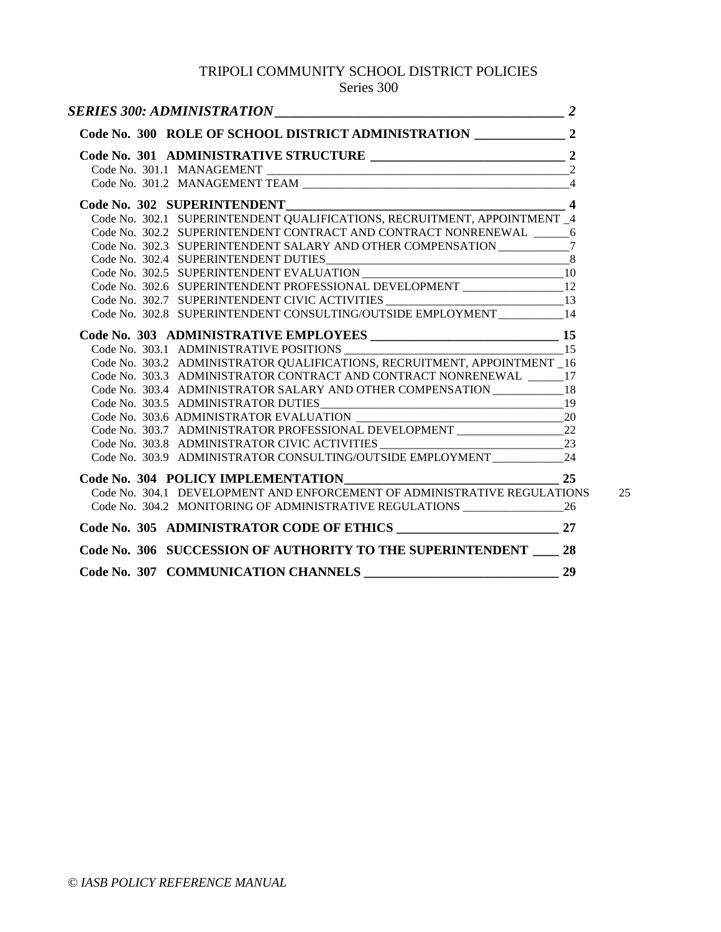# TRIPOLI COMMUNITY SCHOOL DISTRICT POLICIES

# Series 300

| Code No. 302 SUPERINTENDENT                                                         |  |
|-------------------------------------------------------------------------------------|--|
| Code No. 302.1 SUPERINTENDENT QUALIFICATIONS, RECRUITMENT, APPOINTMENT _4           |  |
| Code No. 302.2 SUPERINTENDENT CONTRACT AND CONTRACT NONRENEWAL 6                    |  |
| Code No. 302.3 SUPERINTENDENT SALARY AND OTHER COMPENSATION _____________7          |  |
|                                                                                     |  |
|                                                                                     |  |
| Code No. 302.6 SUPERINTENDENT PROFESSIONAL DEVELOPMENT _________________12          |  |
| Code No. 302.7 SUPERINTENDENT CIVIC ACTIVITIES ________________________________13   |  |
| Code No. 302.8 SUPERINTENDENT CONSULTING/OUTSIDE EMPLOYMENT __________14            |  |
|                                                                                     |  |
| Code No. 303.1 ADMINISTRATIVE POSITIONS 15                                          |  |
| Code No. 303.2 ADMINISTRATOR QUALIFICATIONS, RECRUITMENT, APPOINTMENT 16            |  |
| Code No. 303.3 ADMINISTRATOR CONTRACT AND CONTRACT NONRENEWAL 17                    |  |
| Code No. 303.4 ADMINISTRATOR SALARY AND OTHER COMPENSATION 18                       |  |
|                                                                                     |  |
|                                                                                     |  |
| Code No. 303.7 ADMINISTRATOR PROFESSIONAL DEVELOPMENT ___________________________22 |  |
| Code No. 303.8 ADMINISTRATOR CIVIC ACTIVITIES ___________________________________23 |  |
| Code No. 303.9 ADMINISTRATOR CONSULTING/OUTSIDE EMPLOYMENT 24                       |  |
| $\overline{\phantom{1}}$ 25                                                         |  |
| Code No. 304.1 DEVELOPMENT AND ENFORCEMENT OF ADMINISTRATIVE REGULATIONS            |  |
|                                                                                     |  |
|                                                                                     |  |
| Code No. 306 SUCCESSION OF AUTHORITY TO THE SUPERINTENDENT ____ 28                  |  |
| Code No. 307 COMMUNICATION CHANNELS 29                                              |  |
|                                                                                     |  |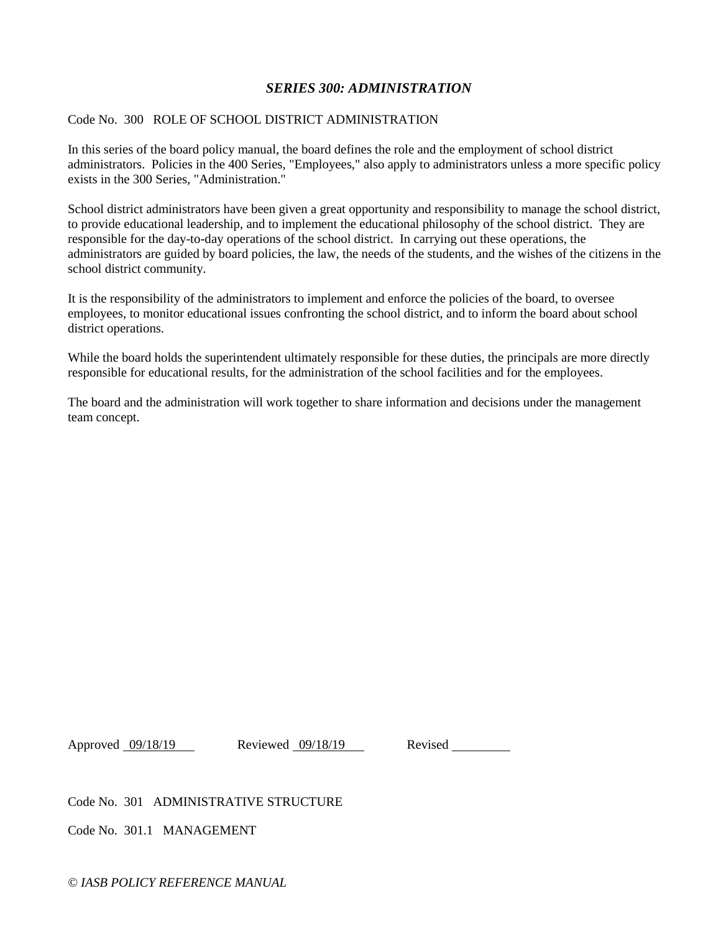# *SERIES 300: ADMINISTRATION*

#### Code No. 300 ROLE OF SCHOOL DISTRICT ADMINISTRATION

In this series of the board policy manual, the board defines the role and the employment of school district administrators. Policies in the 400 Series, "Employees," also apply to administrators unless a more specific policy exists in the 300 Series, "Administration."

School district administrators have been given a great opportunity and responsibility to manage the school district, to provide educational leadership, and to implement the educational philosophy of the school district. They are responsible for the day-to-day operations of the school district. In carrying out these operations, the administrators are guided by board policies, the law, the needs of the students, and the wishes of the citizens in the school district community.

It is the responsibility of the administrators to implement and enforce the policies of the board, to oversee employees, to monitor educational issues confronting the school district, and to inform the board about school district operations.

While the board holds the superintendent ultimately responsible for these duties, the principals are more directly responsible for educational results, for the administration of the school facilities and for the employees.

The board and the administration will work together to share information and decisions under the management team concept.

Approved 09/18/19 Reviewed 09/18/19 Revised

Code No. 301 ADMINISTRATIVE STRUCTURE

Code No. 301.1 MANAGEMENT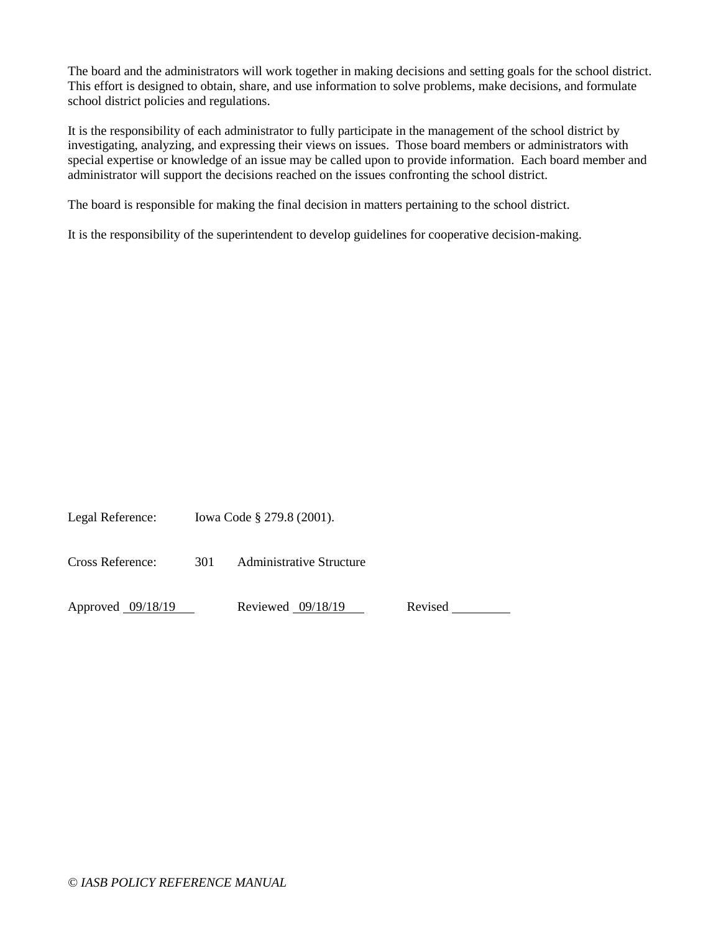The board and the administrators will work together in making decisions and setting goals for the school district. This effort is designed to obtain, share, and use information to solve problems, make decisions, and formulate school district policies and regulations.

It is the responsibility of each administrator to fully participate in the management of the school district by investigating, analyzing, and expressing their views on issues. Those board members or administrators with special expertise or knowledge of an issue may be called upon to provide information. Each board member and administrator will support the decisions reached on the issues confronting the school district.

The board is responsible for making the final decision in matters pertaining to the school district.

It is the responsibility of the superintendent to develop guidelines for cooperative decision-making.

Legal Reference: Iowa Code § 279.8 (2001).

Cross Reference: 301 Administrative Structure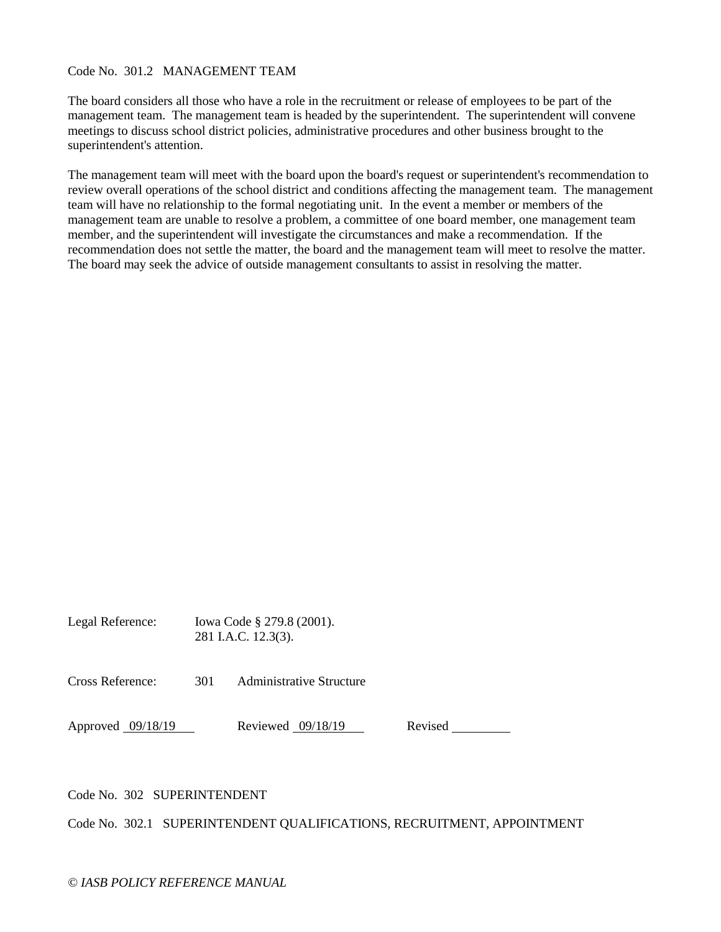#### Code No. 301.2 MANAGEMENT TEAM

The board considers all those who have a role in the recruitment or release of employees to be part of the management team. The management team is headed by the superintendent. The superintendent will convene meetings to discuss school district policies, administrative procedures and other business brought to the superintendent's attention.

The management team will meet with the board upon the board's request or superintendent's recommendation to review overall operations of the school district and conditions affecting the management team. The management team will have no relationship to the formal negotiating unit. In the event a member or members of the management team are unable to resolve a problem, a committee of one board member, one management team member, and the superintendent will investigate the circumstances and make a recommendation. If the recommendation does not settle the matter, the board and the management team will meet to resolve the matter. The board may seek the advice of outside management consultants to assist in resolving the matter.

| Legal Reference: | Iowa Code § 279.8 (2001). |
|------------------|---------------------------|
|                  | 281 I.A.C. 12.3(3).       |

Cross Reference: 301 Administrative Structure

Approved 09/18/19 Reviewed 09/18/19 Revised

Code No. 302 SUPERINTENDENT

Code No. 302.1 SUPERINTENDENT QUALIFICATIONS, RECRUITMENT, APPOINTMENT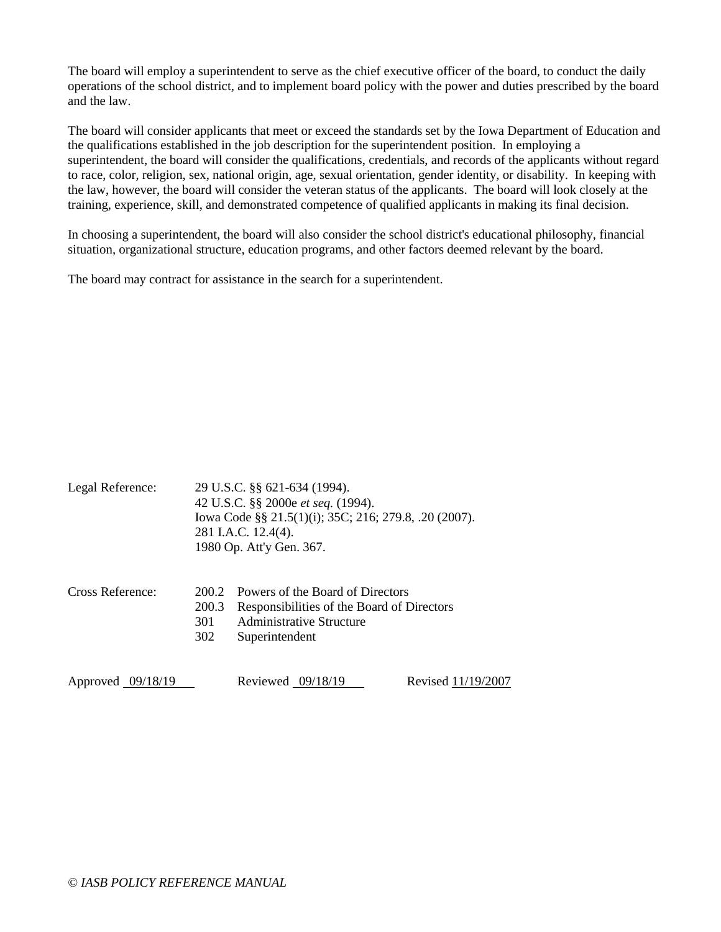The board will employ a superintendent to serve as the chief executive officer of the board, to conduct the daily operations of the school district, and to implement board policy with the power and duties prescribed by the board and the law.

The board will consider applicants that meet or exceed the standards set by the Iowa Department of Education and the qualifications established in the job description for the superintendent position. In employing a superintendent, the board will consider the qualifications, credentials, and records of the applicants without regard to race, color, religion, sex, national origin, age, sexual orientation, gender identity, or disability. In keeping with the law, however, the board will consider the veteran status of the applicants. The board will look closely at the training, experience, skill, and demonstrated competence of qualified applicants in making its final decision.

In choosing a superintendent, the board will also consider the school district's educational philosophy, financial situation, organizational structure, education programs, and other factors deemed relevant by the board.

The board may contract for assistance in the search for a superintendent.

| Legal Reference:    |                              | 29 U.S.C. §§ 621-634 (1994).<br>42 U.S.C. §§ 2000e et seq. (1994).<br>Iowa Code §§ 21.5(1)(i); 35C; 216; 279.8, .20 (2007).<br>281 I.A.C. 12.4(4).<br>1980 Op. Att'y Gen. 367. |                    |  |
|---------------------|------------------------------|--------------------------------------------------------------------------------------------------------------------------------------------------------------------------------|--------------------|--|
| Cross Reference:    | 200.2<br>200.3<br>301<br>302 | Powers of the Board of Directors<br>Responsibilities of the Board of Directors<br>Administrative Structure<br>Superintendent                                                   |                    |  |
| Approved $09/18/19$ |                              | Reviewed 09/18/19                                                                                                                                                              | Revised 11/19/2007 |  |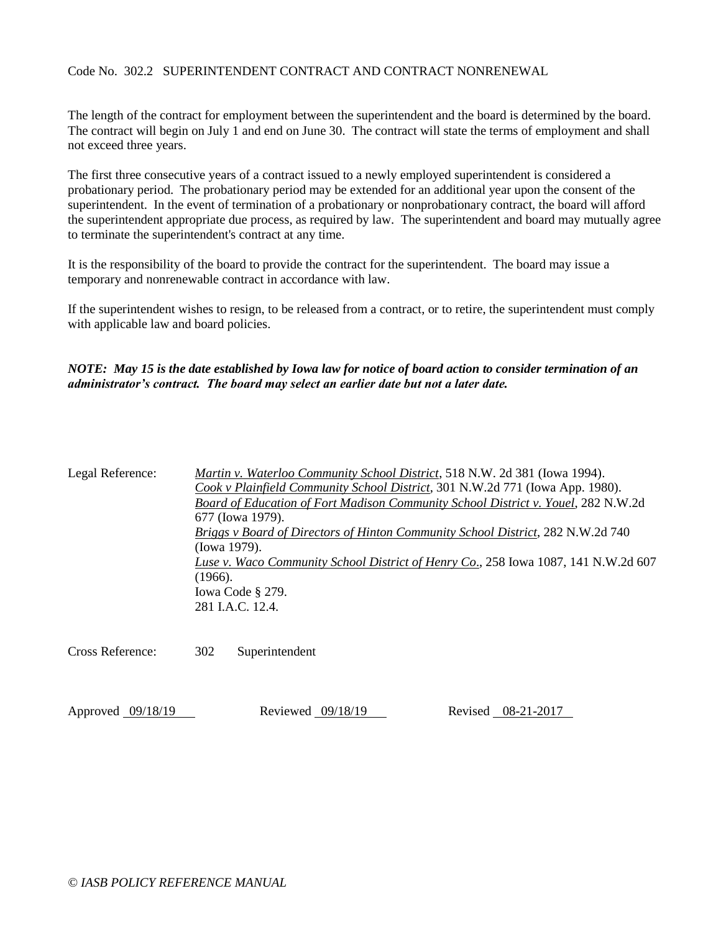# Code No. 302.2 SUPERINTENDENT CONTRACT AND CONTRACT NONRENEWAL

The length of the contract for employment between the superintendent and the board is determined by the board. The contract will begin on July 1 and end on June 30. The contract will state the terms of employment and shall not exceed three years.

The first three consecutive years of a contract issued to a newly employed superintendent is considered a probationary period. The probationary period may be extended for an additional year upon the consent of the superintendent. In the event of termination of a probationary or nonprobationary contract, the board will afford the superintendent appropriate due process, as required by law. The superintendent and board may mutually agree to terminate the superintendent's contract at any time.

It is the responsibility of the board to provide the contract for the superintendent. The board may issue a temporary and nonrenewable contract in accordance with law.

If the superintendent wishes to resign, to be released from a contract, or to retire, the superintendent must comply with applicable law and board policies.

*NOTE: May 15 is the date established by Iowa law for notice of board action to consider termination of an administrator's contract. The board may select an earlier date but not a later date.*

| Legal Reference: | Martin v. Waterloo Community School District, 518 N.W. 2d 381 (Iowa 1994).             |
|------------------|----------------------------------------------------------------------------------------|
|                  | Cook v Plainfield Community School District, 301 N.W.2d 771 (Iowa App. 1980).          |
|                  | Board of Education of Fort Madison Community School District v. Youel, 282 N.W.2d      |
|                  | 677 (Iowa 1979).                                                                       |
|                  | <b>Briggs v Board of Directors of Hinton Community School District, 282 N.W.2d 740</b> |
|                  | (Iowa 1979).                                                                           |
|                  | Luse v. Waco Community School District of Henry Co., 258 Iowa 1087, 141 N.W.2d 607     |
|                  | (1966).                                                                                |
|                  | Iowa Code § 279.                                                                       |
|                  | 281 I.A.C. 12.4.                                                                       |
|                  |                                                                                        |

Cross Reference: 302 Superintendent

Approved 09/18/19 Reviewed 09/18/19 Reviewed 08-21-2017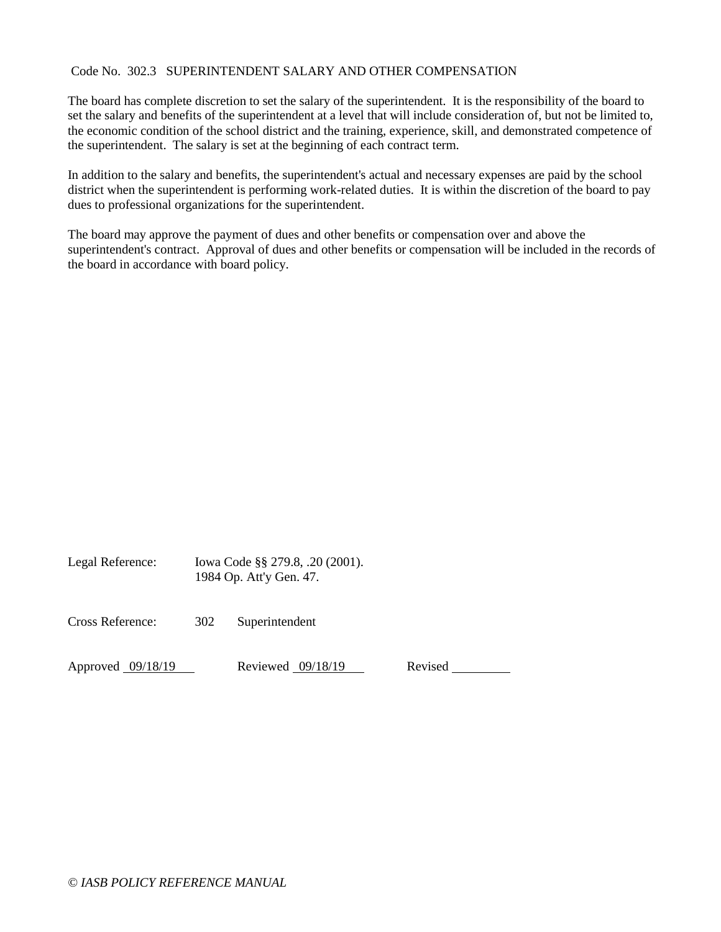# Code No. 302.3 SUPERINTENDENT SALARY AND OTHER COMPENSATION

The board has complete discretion to set the salary of the superintendent. It is the responsibility of the board to set the salary and benefits of the superintendent at a level that will include consideration of, but not be limited to, the economic condition of the school district and the training, experience, skill, and demonstrated competence of the superintendent. The salary is set at the beginning of each contract term.

In addition to the salary and benefits, the superintendent's actual and necessary expenses are paid by the school district when the superintendent is performing work-related duties. It is within the discretion of the board to pay dues to professional organizations for the superintendent.

The board may approve the payment of dues and other benefits or compensation over and above the superintendent's contract. Approval of dues and other benefits or compensation will be included in the records of the board in accordance with board policy.

| Legal Reference: | Iowa Code §§ 279.8, .20 (2001).<br>1984 Op. Att'y Gen. 47. |                |
|------------------|------------------------------------------------------------|----------------|
| Cross Reference: | 302                                                        | Superintendent |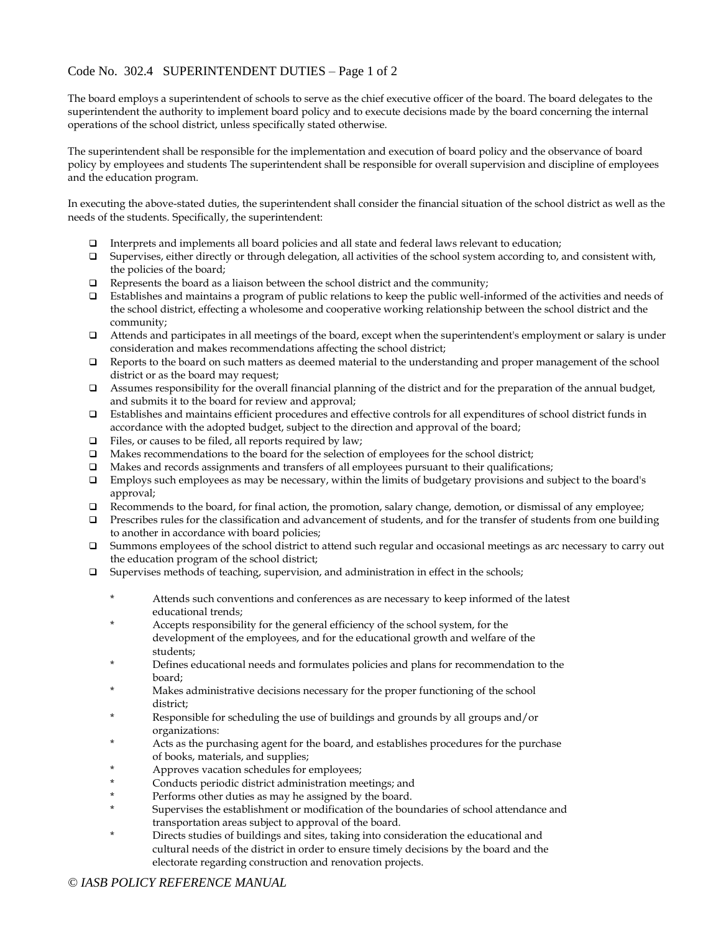# Code No. 302.4 SUPERINTENDENT DUTIES – Page 1 of 2

The board employs a superintendent of schools to serve as the chief executive officer of the board. The board delegates to the superintendent the authority to implement board policy and to execute decisions made by the board concerning the internal operations of the school district, unless specifically stated otherwise.

The superintendent shall be responsible for the implementation and execution of board policy and the observance of board policy by employees and students The superintendent shall be responsible for overall supervision and discipline of employees and the education program.

In executing the above-stated duties, the superintendent shall consider the financial situation of the school district as well as the needs of the students. Specifically, the superintendent:

- Interprets and implements all board policies and all state and federal laws relevant to education;
- Supervises, either directly or through delegation, all activities of the school system according to, and consistent with, the policies of the board;
- $\Box$  Represents the board as a liaison between the school district and the community;
- Establishes and maintains a program of public relations to keep the public well-informed of the activities and needs of the school district, effecting a wholesome and cooperative working relationship between the school district and the community;
- Attends and participates in all meetings of the board, except when the superintendent's employment or salary is under consideration and makes recommendations affecting the school district;
- Reports to the board on such matters as deemed material to the understanding and proper management of the school district or as the board may request;
- Assumes responsibility for the overall financial planning of the district and for the preparation of the annual budget, and submits it to the board for review and approval;
- Establishes and maintains efficient procedures and effective controls for all expenditures of school district funds in accordance with the adopted budget, subject to the direction and approval of the board;
- Files, or causes to be filed, all reports required by law;
- $\Box$  Makes recommendations to the board for the selection of employees for the school district;
- Makes and records assignments and transfers of all employees pursuant to their qualifications;
- $\Box$  Employs such employees as may be necessary, within the limits of budgetary provisions and subject to the board's approval;
- $\Box$  Recommends to the board, for final action, the promotion, salary change, demotion, or dismissal of any employee;
- $\Box$  Prescribes rules for the classification and advancement of students, and for the transfer of students from one building to another in accordance with board policies;
- Summons employees of the school district to attend such regular and occasional meetings as arc necessary to carry out the education program of the school district;
- $\Box$  Supervises methods of teaching, supervision, and administration in effect in the schools;
	- \* Attends such conventions and conferences as are necessary to keep informed of the latest educational trends;
	- \* Accepts responsibility for the general efficiency of the school system, for the development of the employees, and for the educational growth and welfare of the students;
	- Defines educational needs and formulates policies and plans for recommendation to the board;
	- Makes administrative decisions necessary for the proper functioning of the school district;
	- Responsible for scheduling the use of buildings and grounds by all groups and/or organizations:
	- Acts as the purchasing agent for the board, and establishes procedures for the purchase of books, materials, and supplies;
	- Approves vacation schedules for employees;
	- Conducts periodic district administration meetings; and
	- Performs other duties as may he assigned by the board.
	- Supervises the establishment or modification of the boundaries of school attendance and transportation areas subject to approval of the board.
	- Directs studies of buildings and sites, taking into consideration the educational and cultural needs of the district in order to ensure timely decisions by the board and the electorate regarding construction and renovation projects.

#### *© IASB POLICY REFERENCE MANUAL*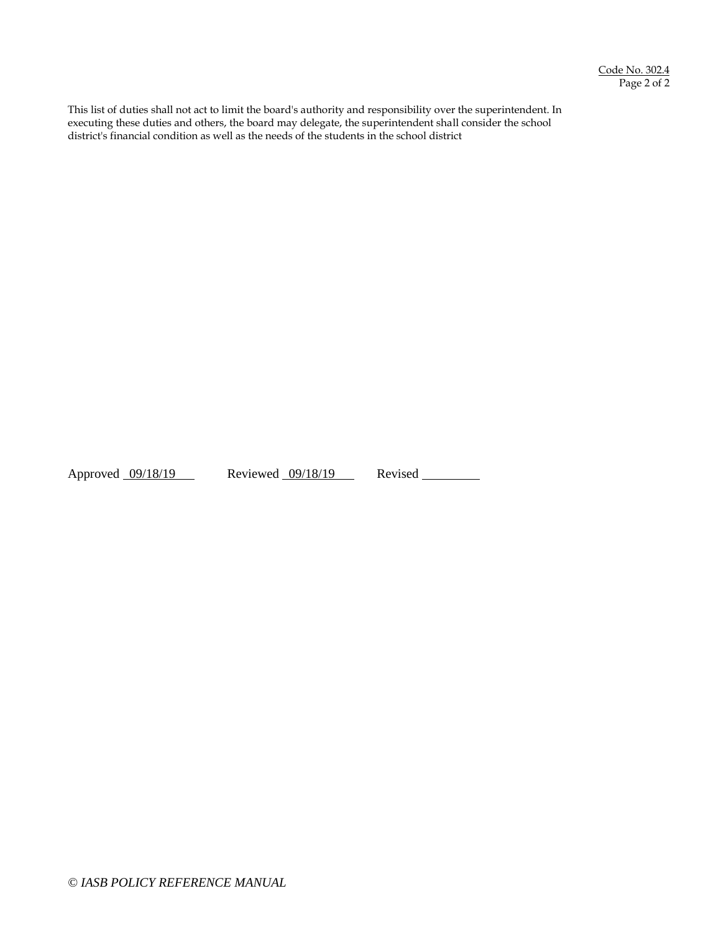This list of duties shall not act to limit the board's authority and responsibility over the superintendent. In executing these duties and others, the board may delegate, the superintendent shall consider the school district's financial condition as well as the needs of the students in the school district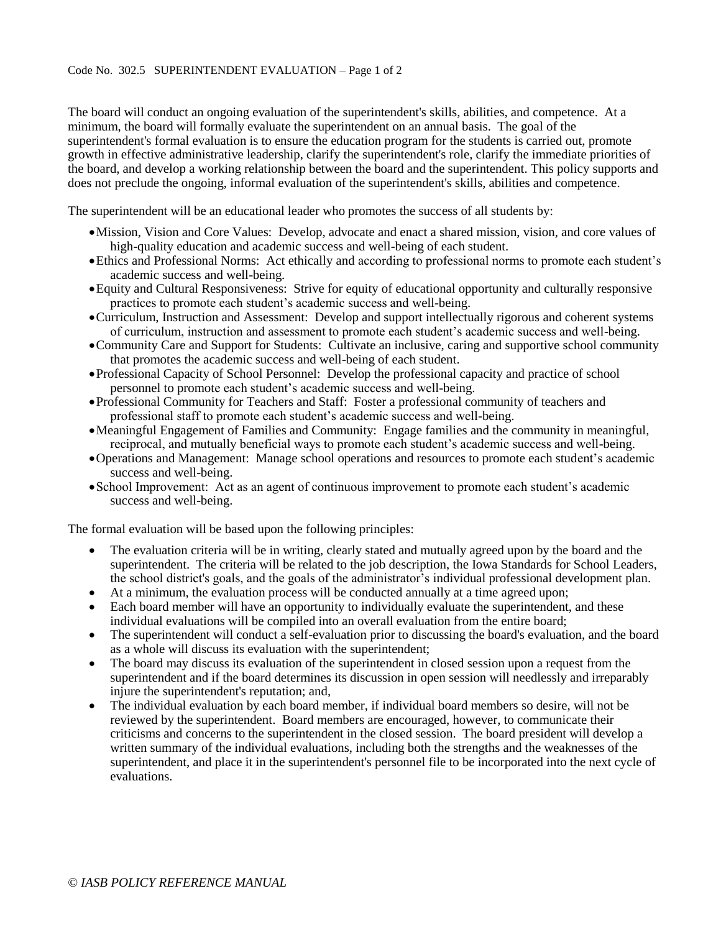#### Code No. 302.5 SUPERINTENDENT EVALUATION – Page 1 of 2

The board will conduct an ongoing evaluation of the superintendent's skills, abilities, and competence. At a minimum, the board will formally evaluate the superintendent on an annual basis. The goal of the superintendent's formal evaluation is to ensure the education program for the students is carried out, promote growth in effective administrative leadership, clarify the superintendent's role, clarify the immediate priorities of the board, and develop a working relationship between the board and the superintendent. This policy supports and does not preclude the ongoing, informal evaluation of the superintendent's skills, abilities and competence.

The superintendent will be an educational leader who promotes the success of all students by:

- Mission, Vision and Core Values: Develop, advocate and enact a shared mission, vision, and core values of high-quality education and academic success and well-being of each student.
- Ethics and Professional Norms: Act ethically and according to professional norms to promote each student's academic success and well-being.
- Equity and Cultural Responsiveness: Strive for equity of educational opportunity and culturally responsive practices to promote each student's academic success and well-being.
- Curriculum, Instruction and Assessment: Develop and support intellectually rigorous and coherent systems of curriculum, instruction and assessment to promote each student's academic success and well-being.
- Community Care and Support for Students: Cultivate an inclusive, caring and supportive school community that promotes the academic success and well-being of each student.
- Professional Capacity of School Personnel: Develop the professional capacity and practice of school personnel to promote each student's academic success and well-being.
- Professional Community for Teachers and Staff: Foster a professional community of teachers and professional staff to promote each student's academic success and well-being.
- Meaningful Engagement of Families and Community: Engage families and the community in meaningful, reciprocal, and mutually beneficial ways to promote each student's academic success and well-being.
- Operations and Management: Manage school operations and resources to promote each student's academic success and well-being.
- School Improvement: Act as an agent of continuous improvement to promote each student's academic success and well-being.

The formal evaluation will be based upon the following principles:

- The evaluation criteria will be in writing, clearly stated and mutually agreed upon by the board and the superintendent. The criteria will be related to the job description, the Iowa Standards for School Leaders, the school district's goals, and the goals of the administrator's individual professional development plan.
- At a minimum, the evaluation process will be conducted annually at a time agreed upon;
- Each board member will have an opportunity to individually evaluate the superintendent, and these individual evaluations will be compiled into an overall evaluation from the entire board;
- The superintendent will conduct a self-evaluation prior to discussing the board's evaluation, and the board as a whole will discuss its evaluation with the superintendent;
- The board may discuss its evaluation of the superintendent in closed session upon a request from the superintendent and if the board determines its discussion in open session will needlessly and irreparably injure the superintendent's reputation; and,
- The individual evaluation by each board member, if individual board members so desire, will not be reviewed by the superintendent. Board members are encouraged, however, to communicate their criticisms and concerns to the superintendent in the closed session. The board president will develop a written summary of the individual evaluations, including both the strengths and the weaknesses of the superintendent, and place it in the superintendent's personnel file to be incorporated into the next cycle of evaluations.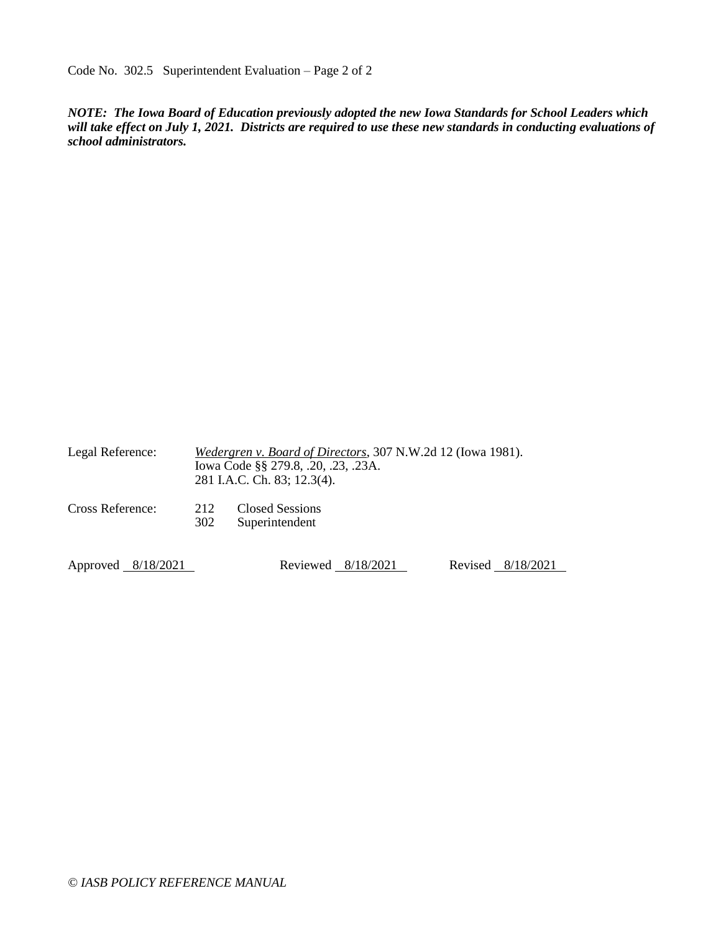Code No. 302.5 Superintendent Evaluation – Page 2 of 2

*NOTE: The Iowa Board of Education previously adopted the new Iowa Standards for School Leaders which will take effect on July 1, 2021. Districts are required to use these new standards in conducting evaluations of school administrators.* 

| Legal Reference:   | Wedergren v. Board of Directors, 307 N.W.2d 12 (Iowa 1981).<br>Iowa Code §§ 279.8, .20, .23, .23A.<br>281 I.A.C. Ch. 83; 12.3(4). |                                          |  |                   |  |
|--------------------|-----------------------------------------------------------------------------------------------------------------------------------|------------------------------------------|--|-------------------|--|
| Cross Reference:   | 212<br>302                                                                                                                        | <b>Closed Sessions</b><br>Superintendent |  |                   |  |
| Approved 8/18/2021 |                                                                                                                                   | Reviewed $8/18/2021$                     |  | Revised 8/18/2021 |  |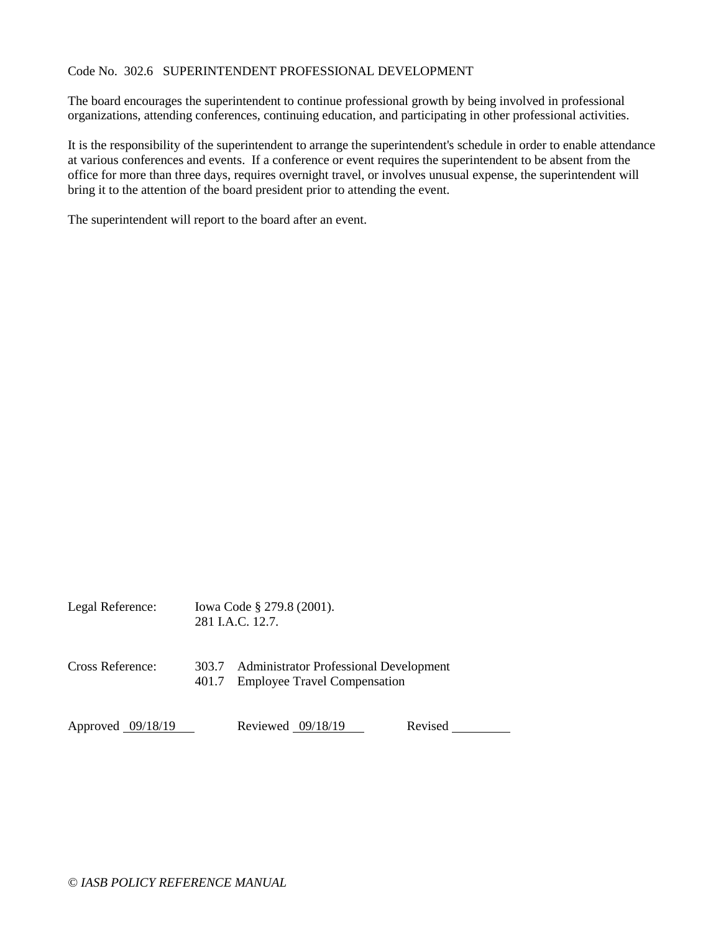### Code No. 302.6 SUPERINTENDENT PROFESSIONAL DEVELOPMENT

The board encourages the superintendent to continue professional growth by being involved in professional organizations, attending conferences, continuing education, and participating in other professional activities.

It is the responsibility of the superintendent to arrange the superintendent's schedule in order to enable attendance at various conferences and events. If a conference or event requires the superintendent to be absent from the office for more than three days, requires overnight travel, or involves unusual expense, the superintendent will bring it to the attention of the board president prior to attending the event.

The superintendent will report to the board after an event.

| Legal Reference:  |                | Iowa Code § 279.8 (2001).<br>281 J.A.C. 12.7.                                        |         |
|-------------------|----------------|--------------------------------------------------------------------------------------|---------|
| Cross Reference:  | 303.7<br>401.7 | <b>Administrator Professional Development</b><br><b>Employee Travel Compensation</b> |         |
| Approved 09/18/19 |                | Reviewed 09/18/19                                                                    | Revised |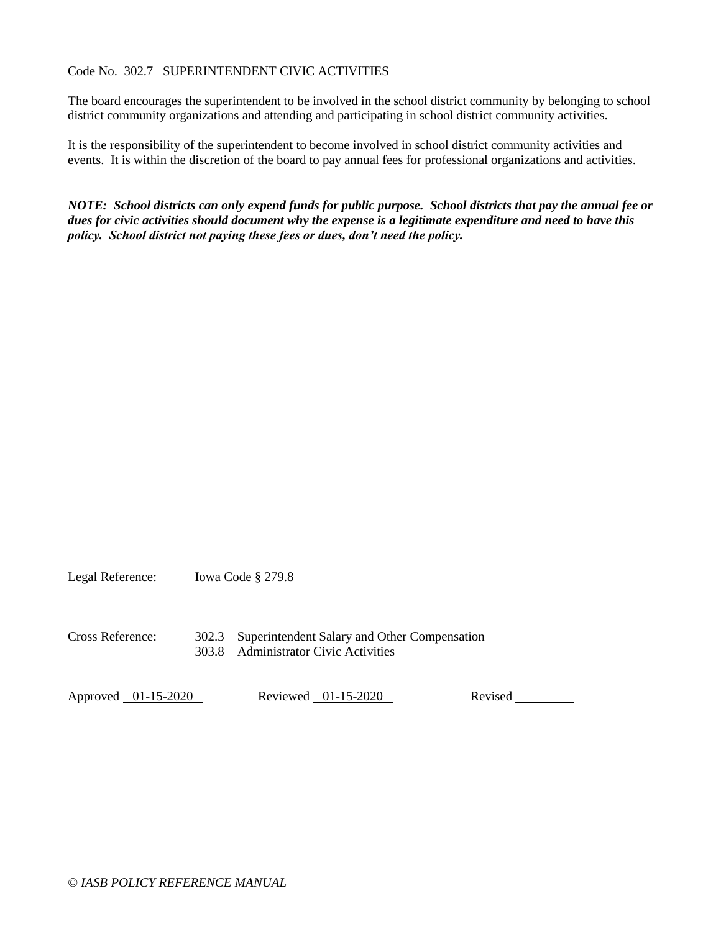# Code No. 302.7 SUPERINTENDENT CIVIC ACTIVITIES

The board encourages the superintendent to be involved in the school district community by belonging to school district community organizations and attending and participating in school district community activities.

It is the responsibility of the superintendent to become involved in school district community activities and events. It is within the discretion of the board to pay annual fees for professional organizations and activities.

*NOTE: School districts can only expend funds for public purpose. School districts that pay the annual fee or dues for civic activities should document why the expense is a legitimate expenditure and need to have this policy. School district not paying these fees or dues, don't need the policy.*

Legal Reference: Iowa Code § 279.8

Cross Reference: 302.3 Superintendent Salary and Other Compensation 303.8 Administrator Civic Activities

Approved 01-15-2020 Reviewed 01-15-2020 Revised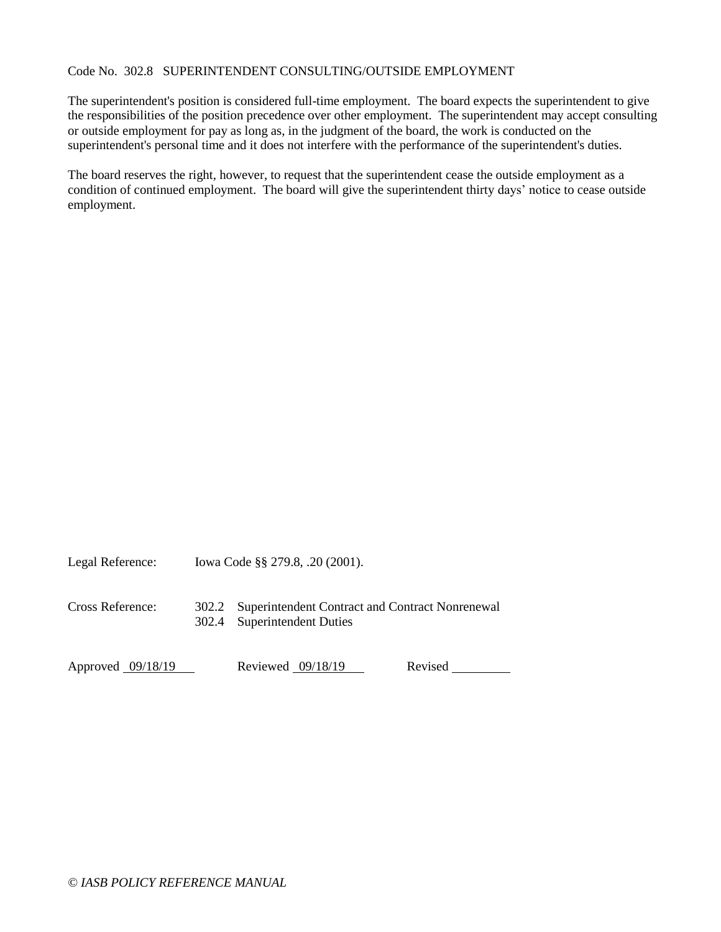# Code No. 302.8 SUPERINTENDENT CONSULTING/OUTSIDE EMPLOYMENT

The superintendent's position is considered full-time employment. The board expects the superintendent to give the responsibilities of the position precedence over other employment. The superintendent may accept consulting or outside employment for pay as long as, in the judgment of the board, the work is conducted on the superintendent's personal time and it does not interfere with the performance of the superintendent's duties.

The board reserves the right, however, to request that the superintendent cease the outside employment as a condition of continued employment. The board will give the superintendent thirty days' notice to cease outside employment.

Legal Reference: Iowa Code §§ 279.8, .20 (2001). Cross Reference: 302.2 Superintendent Contract and Contract Nonrenewal 302.4 Superintendent Duties Approved 09/18/19 Reviewed 09/18/19 Revised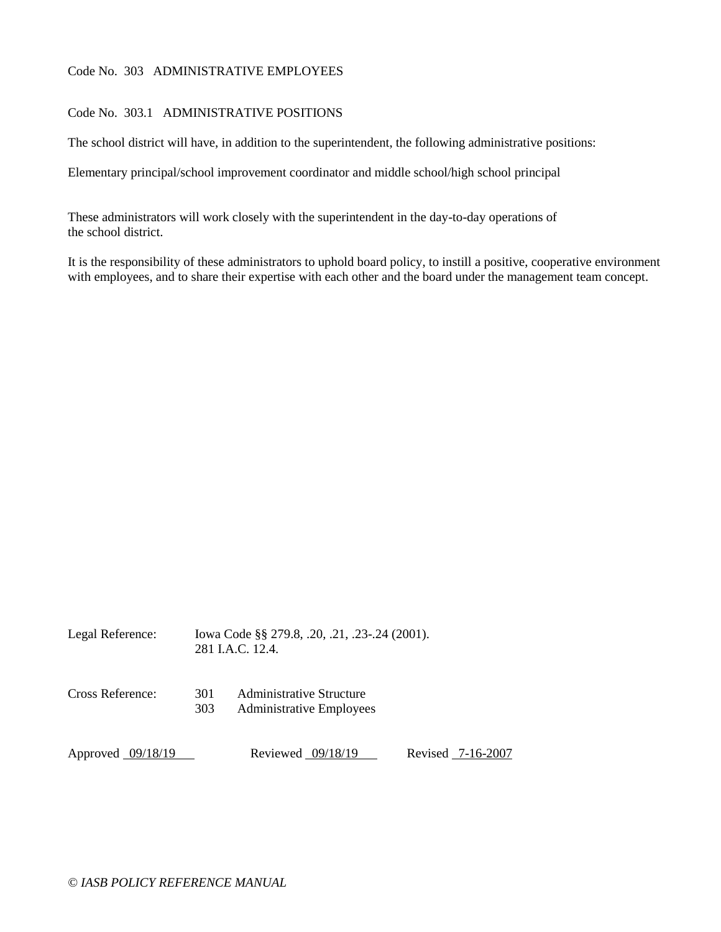# Code No. 303 ADMINISTRATIVE EMPLOYEES

# Code No. 303.1 ADMINISTRATIVE POSITIONS

The school district will have, in addition to the superintendent, the following administrative positions:

Elementary principal/school improvement coordinator and middle school/high school principal

These administrators will work closely with the superintendent in the day-to-day operations of the school district.

It is the responsibility of these administrators to uphold board policy, to instill a positive, cooperative environment with employees, and to share their expertise with each other and the board under the management team concept.

| Legal Reference:    | Iowa Code §§ 279.8, .20, .21, .23-.24 (2001).<br>281 J.A.C. 12.4. |                                                             |  |                   |  |
|---------------------|-------------------------------------------------------------------|-------------------------------------------------------------|--|-------------------|--|
| Cross Reference:    | 301<br>303                                                        | Administrative Structure<br><b>Administrative Employees</b> |  |                   |  |
| Approved $09/18/19$ |                                                                   | Reviewed $09/18/19$                                         |  | Revised 7-16-2007 |  |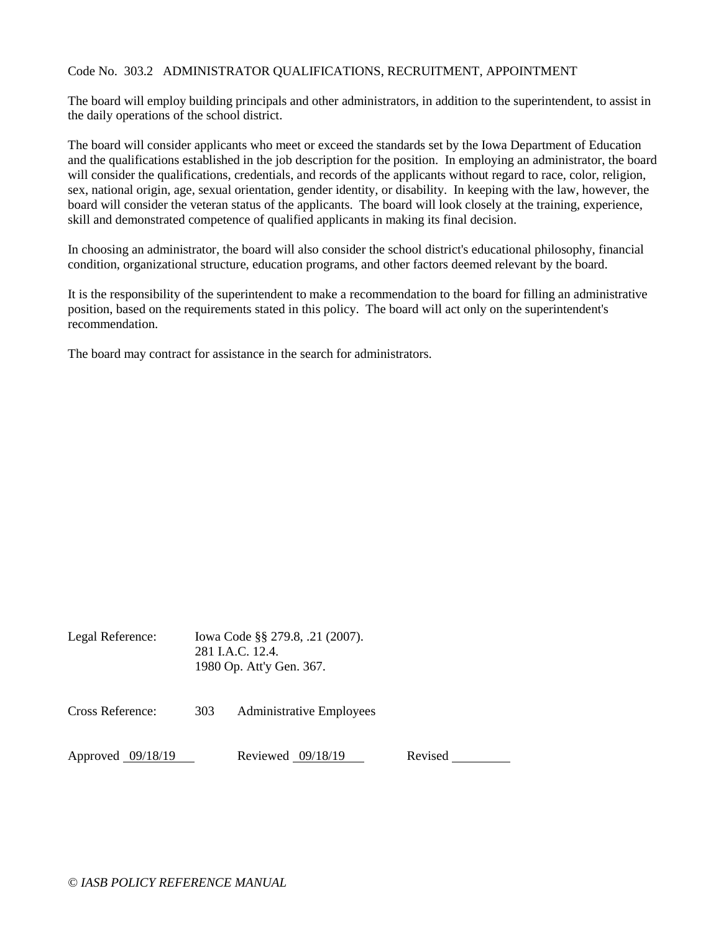### Code No. 303.2 ADMINISTRATOR QUALIFICATIONS, RECRUITMENT, APPOINTMENT

The board will employ building principals and other administrators, in addition to the superintendent, to assist in the daily operations of the school district.

The board will consider applicants who meet or exceed the standards set by the Iowa Department of Education and the qualifications established in the job description for the position. In employing an administrator, the board will consider the qualifications, credentials, and records of the applicants without regard to race, color, religion, sex, national origin, age, sexual orientation, gender identity, or disability. In keeping with the law, however, the board will consider the veteran status of the applicants. The board will look closely at the training, experience, skill and demonstrated competence of qualified applicants in making its final decision.

In choosing an administrator, the board will also consider the school district's educational philosophy, financial condition, organizational structure, education programs, and other factors deemed relevant by the board.

It is the responsibility of the superintendent to make a recommendation to the board for filling an administrative position, based on the requirements stated in this policy. The board will act only on the superintendent's recommendation.

The board may contract for assistance in the search for administrators.

| Legal Reference: | Iowa Code §§ 279.8, .21 (2007).<br>281 LA.C. 12.4.<br>1980 Op. Att'y Gen. 367. |                                 |
|------------------|--------------------------------------------------------------------------------|---------------------------------|
| Cross Reference: | 303                                                                            | <b>Administrative Employees</b> |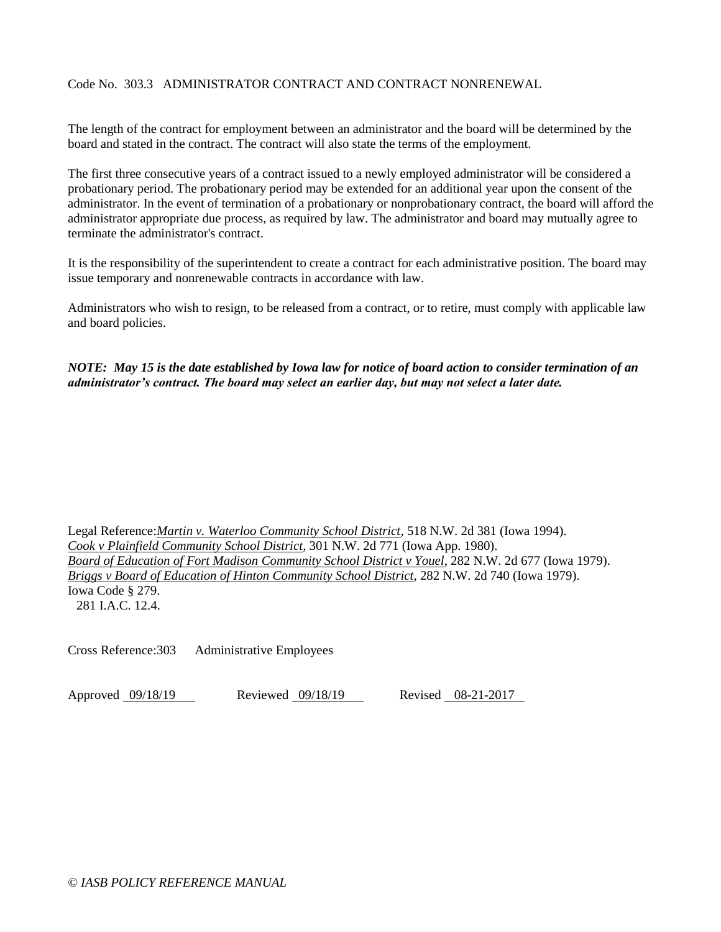# Code No. 303.3 ADMINISTRATOR CONTRACT AND CONTRACT NONRENEWAL

The length of the contract for employment between an administrator and the board will be determined by the board and stated in the contract. The contract will also state the terms of the employment.

The first three consecutive years of a contract issued to a newly employed administrator will be considered a probationary period. The probationary period may be extended for an additional year upon the consent of the administrator. In the event of termination of a probationary or nonprobationary contract, the board will afford the administrator appropriate due process, as required by law. The administrator and board may mutually agree to terminate the administrator's contract.

It is the responsibility of the superintendent to create a contract for each administrative position. The board may issue temporary and nonrenewable contracts in accordance with law.

Administrators who wish to resign, to be released from a contract, or to retire, must comply with applicable law and board policies.

*NOTE: May 15 is the date established by Iowa law for notice of board action to consider termination of an administrator's contract. The board may select an earlier day, but may not select a later date.* 

Legal Reference:*Martin v. Waterloo Community School District*, 518 N.W. 2d 381 (Iowa 1994). *Cook v Plainfield Community School District*, 301 N.W. 2d 771 (Iowa App. 1980). *Board of Education of Fort Madison Community School District v Youel*, 282 N.W. 2d 677 (Iowa 1979). *Briggs v Board of Education of Hinton Community School District*, 282 N.W. 2d 740 (Iowa 1979). Iowa Code § 279. 281 I.A.C. 12.4.

Cross Reference:303 Administrative Employees

Approved 09/18/19 Reviewed 09/18/19 Revised 08-21-2017

*© IASB POLICY REFERENCE MANUAL*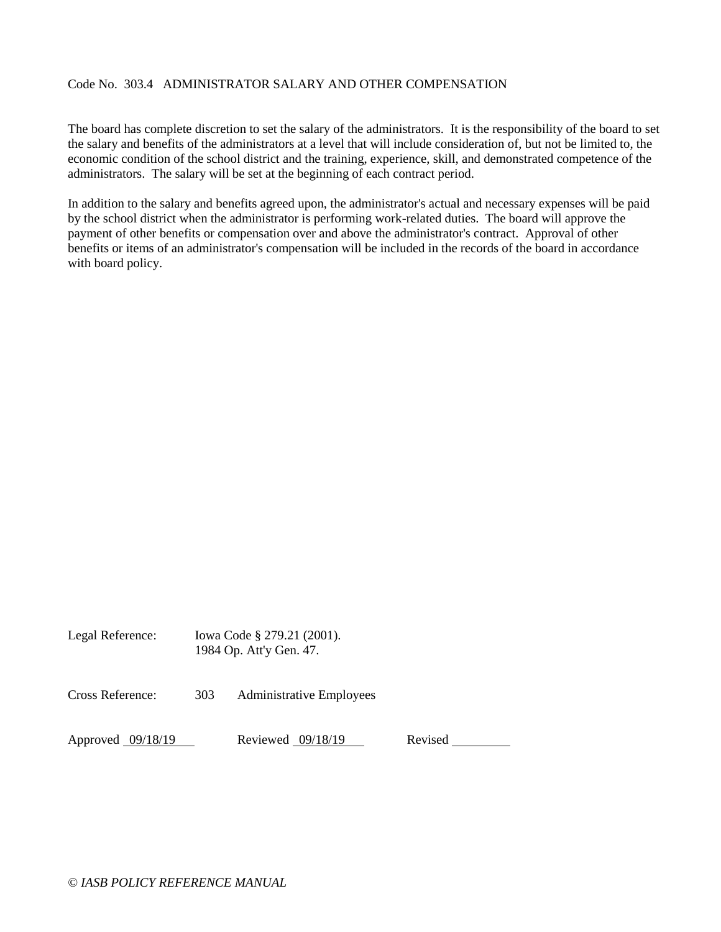# Code No. 303.4 ADMINISTRATOR SALARY AND OTHER COMPENSATION

The board has complete discretion to set the salary of the administrators. It is the responsibility of the board to set the salary and benefits of the administrators at a level that will include consideration of, but not be limited to, the economic condition of the school district and the training, experience, skill, and demonstrated competence of the administrators. The salary will be set at the beginning of each contract period.

In addition to the salary and benefits agreed upon, the administrator's actual and necessary expenses will be paid by the school district when the administrator is performing work-related duties. The board will approve the payment of other benefits or compensation over and above the administrator's contract. Approval of other benefits or items of an administrator's compensation will be included in the records of the board in accordance with board policy.

| Legal Reference:    |     | Iowa Code § 279.21 (2001).<br>1984 Op. Att'y Gen. 47. |         |  |
|---------------------|-----|-------------------------------------------------------|---------|--|
| Cross Reference:    | 303 | <b>Administrative Employees</b>                       |         |  |
| Approved $09/18/19$ |     | Reviewed 09/18/19                                     | Revised |  |

*© IASB POLICY REFERENCE MANUAL*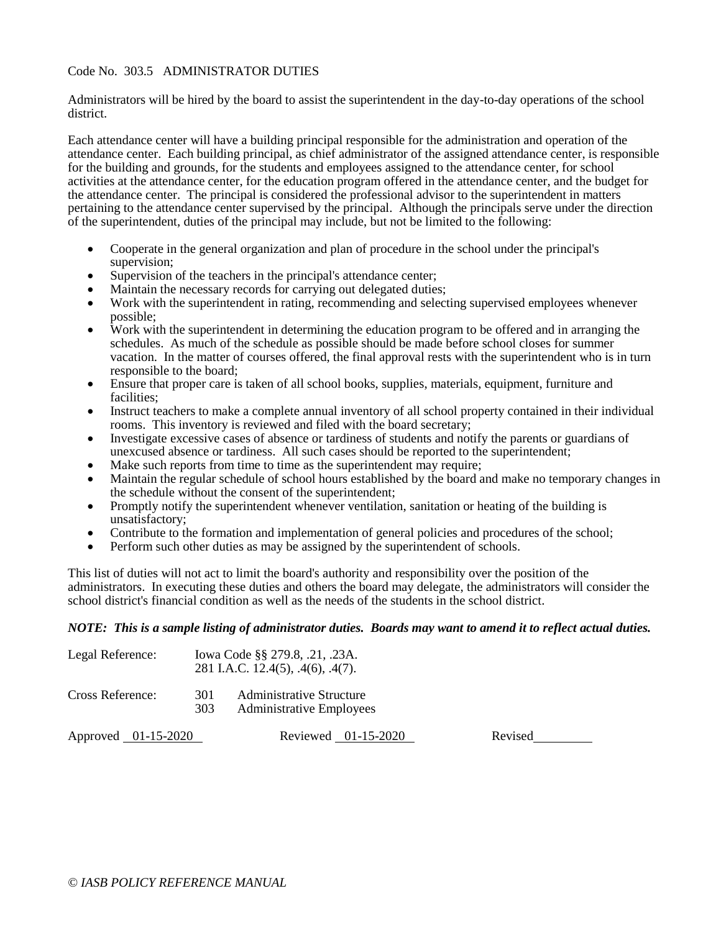### Code No. 303.5 ADMINISTRATOR DUTIES

Administrators will be hired by the board to assist the superintendent in the day-to-day operations of the school district.

Each attendance center will have a building principal responsible for the administration and operation of the attendance center. Each building principal, as chief administrator of the assigned attendance center, is responsible for the building and grounds, for the students and employees assigned to the attendance center, for school activities at the attendance center, for the education program offered in the attendance center, and the budget for the attendance center. The principal is considered the professional advisor to the superintendent in matters pertaining to the attendance center supervised by the principal. Although the principals serve under the direction of the superintendent, duties of the principal may include, but not be limited to the following:

- Cooperate in the general organization and plan of procedure in the school under the principal's supervision;
- Supervision of the teachers in the principal's attendance center;
- Maintain the necessary records for carrying out delegated duties;
- Work with the superintendent in rating, recommending and selecting supervised employees whenever possible;
- Work with the superintendent in determining the education program to be offered and in arranging the schedules. As much of the schedule as possible should be made before school closes for summer vacation. In the matter of courses offered, the final approval rests with the superintendent who is in turn responsible to the board;
- Ensure that proper care is taken of all school books, supplies, materials, equipment, furniture and facilities;
- Instruct teachers to make a complete annual inventory of all school property contained in their individual rooms. This inventory is reviewed and filed with the board secretary;
- Investigate excessive cases of absence or tardiness of students and notify the parents or guardians of unexcused absence or tardiness. All such cases should be reported to the superintendent;
- Make such reports from time to time as the superintendent may require;
- Maintain the regular schedule of school hours established by the board and make no temporary changes in the schedule without the consent of the superintendent;
- Promptly notify the superintendent whenever ventilation, sanitation or heating of the building is unsatisfactory;
- Contribute to the formation and implementation of general policies and procedures of the school;
- Perform such other duties as may be assigned by the superintendent of schools.

This list of duties will not act to limit the board's authority and responsibility over the position of the administrators. In executing these duties and others the board may delegate, the administrators will consider the school district's financial condition as well as the needs of the students in the school district.

#### *NOTE: This is a sample listing of administrator duties. Boards may want to amend it to reflect actual duties.*

| Legal Reference: |            | Iowa Code §§ 279.8, .21, .23A.<br>281 I.A.C. 12.4(5), .4(6), .4(7). |
|------------------|------------|---------------------------------------------------------------------|
| Cross Reference: | 301<br>303 | <b>Administrative Structure</b><br><b>Administrative Employees</b>  |

Approved 01-15-2020 Reviewed 01-15-2020 Revised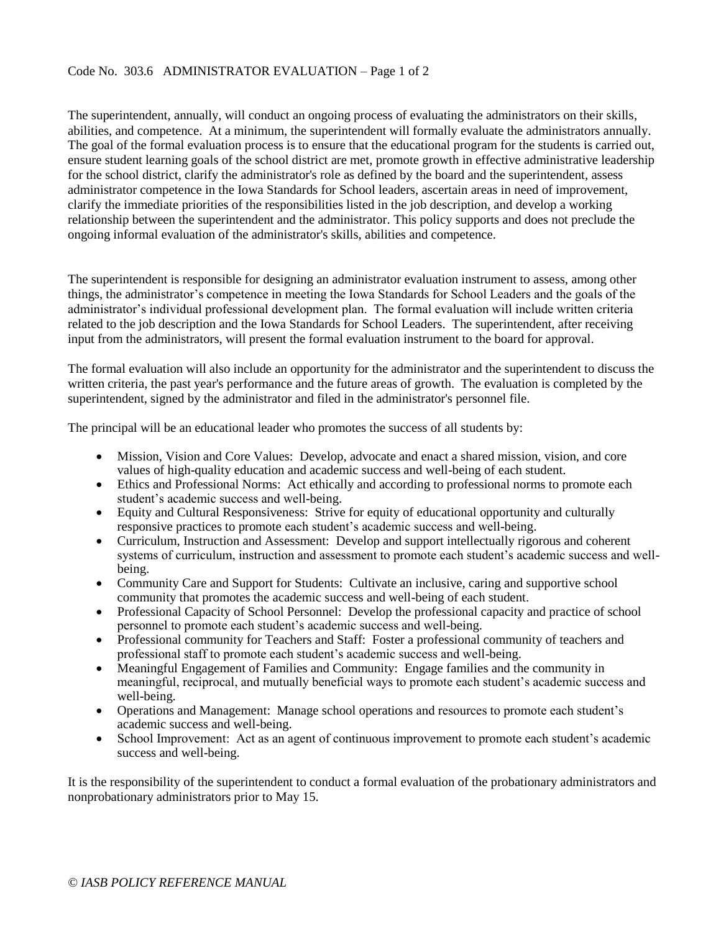The superintendent, annually, will conduct an ongoing process of evaluating the administrators on their skills, abilities, and competence. At a minimum, the superintendent will formally evaluate the administrators annually. The goal of the formal evaluation process is to ensure that the educational program for the students is carried out, ensure student learning goals of the school district are met, promote growth in effective administrative leadership for the school district, clarify the administrator's role as defined by the board and the superintendent, assess administrator competence in the Iowa Standards for School leaders, ascertain areas in need of improvement, clarify the immediate priorities of the responsibilities listed in the job description, and develop a working relationship between the superintendent and the administrator. This policy supports and does not preclude the ongoing informal evaluation of the administrator's skills, abilities and competence.

The superintendent is responsible for designing an administrator evaluation instrument to assess, among other things, the administrator's competence in meeting the Iowa Standards for School Leaders and the goals of the administrator's individual professional development plan. The formal evaluation will include written criteria related to the job description and the Iowa Standards for School Leaders. The superintendent, after receiving input from the administrators, will present the formal evaluation instrument to the board for approval.

The formal evaluation will also include an opportunity for the administrator and the superintendent to discuss the written criteria, the past year's performance and the future areas of growth. The evaluation is completed by the superintendent, signed by the administrator and filed in the administrator's personnel file.

The principal will be an educational leader who promotes the success of all students by:

- Mission, Vision and Core Values: Develop, advocate and enact a shared mission, vision, and core values of high-quality education and academic success and well-being of each student.
- Ethics and Professional Norms: Act ethically and according to professional norms to promote each student's academic success and well-being.
- Equity and Cultural Responsiveness: Strive for equity of educational opportunity and culturally responsive practices to promote each student's academic success and well-being.
- Curriculum, Instruction and Assessment: Develop and support intellectually rigorous and coherent systems of curriculum, instruction and assessment to promote each student's academic success and wellbeing.
- Community Care and Support for Students: Cultivate an inclusive, caring and supportive school community that promotes the academic success and well-being of each student.
- Professional Capacity of School Personnel: Develop the professional capacity and practice of school personnel to promote each student's academic success and well-being.
- Professional community for Teachers and Staff: Foster a professional community of teachers and professional staff to promote each student's academic success and well-being.
- Meaningful Engagement of Families and Community: Engage families and the community in meaningful, reciprocal, and mutually beneficial ways to promote each student's academic success and well-being.
- Operations and Management: Manage school operations and resources to promote each student's academic success and well-being.
- School Improvement: Act as an agent of continuous improvement to promote each student's academic success and well-being.

It is the responsibility of the superintendent to conduct a formal evaluation of the probationary administrators and nonprobationary administrators prior to May 15.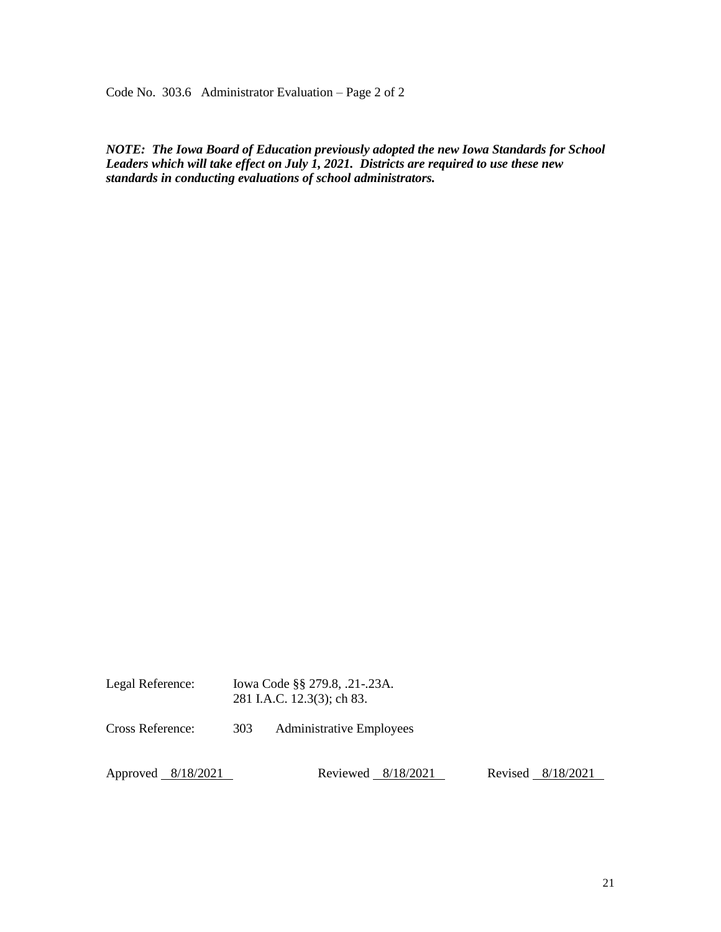Code No. 303.6 Administrator Evaluation – Page 2 of 2

*NOTE: The Iowa Board of Education previously adopted the new Iowa Standards for School Leaders which will take effect on July 1, 2021. Districts are required to use these new standards in conducting evaluations of school administrators.* 

Legal Reference: Iowa Code §§ 279.8, .21-.23A. 281 I.A.C. 12.3(3); ch 83. Cross Reference: 303 Administrative Employees Approved 8/18/2021 Reviewed 8/18/2021 Revised 8/18/2021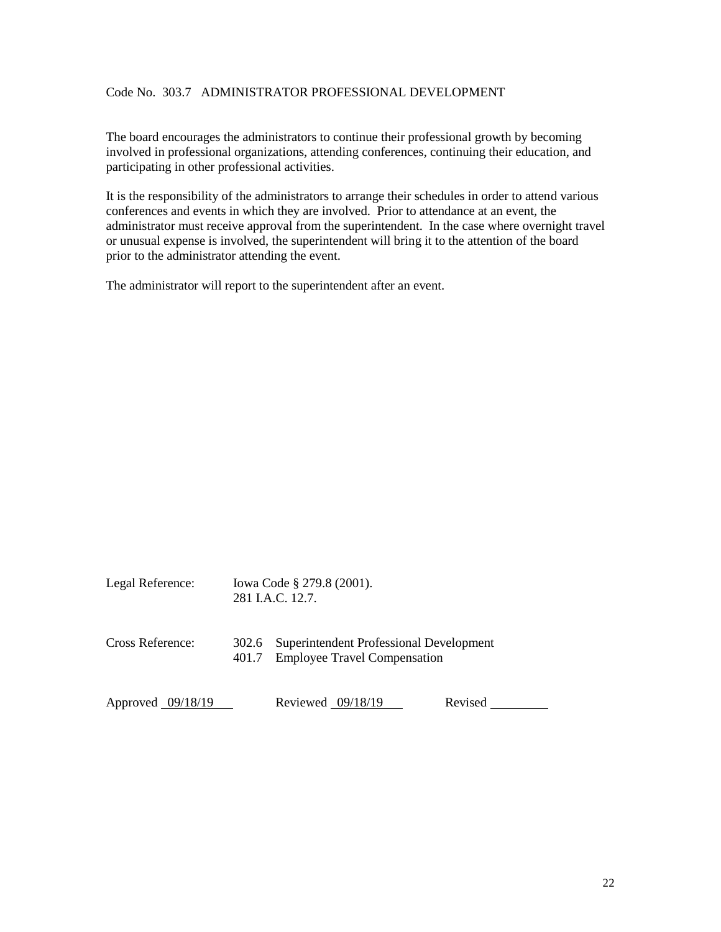# Code No. 303.7 ADMINISTRATOR PROFESSIONAL DEVELOPMENT

The board encourages the administrators to continue their professional growth by becoming involved in professional organizations, attending conferences, continuing their education, and participating in other professional activities.

It is the responsibility of the administrators to arrange their schedules in order to attend various conferences and events in which they are involved. Prior to attendance at an event, the administrator must receive approval from the superintendent. In the case where overnight travel or unusual expense is involved, the superintendent will bring it to the attention of the board prior to the administrator attending the event.

The administrator will report to the superintendent after an event.

| Legal Reference:    |                | Iowa Code § 279.8 (2001).<br>281 I.A.C. 12.7.                                  |         |  |  |
|---------------------|----------------|--------------------------------------------------------------------------------|---------|--|--|
| Cross Reference:    | 302.6<br>401.7 | Superintendent Professional Development<br><b>Employee Travel Compensation</b> |         |  |  |
| Approved $09/18/19$ |                | Reviewed $09/18/19$                                                            | Revised |  |  |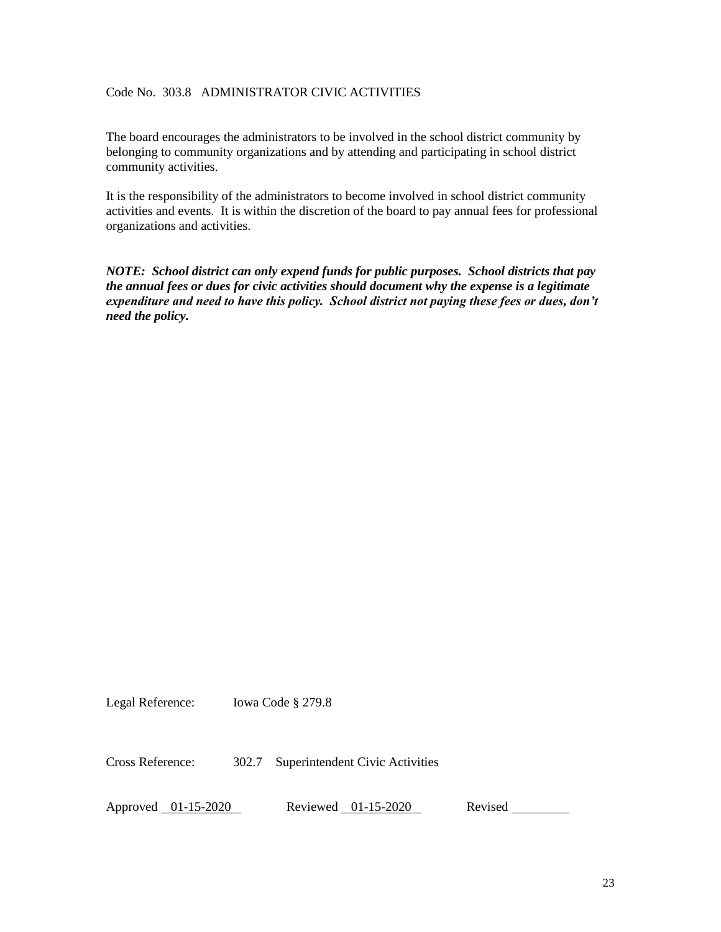# Code No. 303.8 ADMINISTRATOR CIVIC ACTIVITIES

The board encourages the administrators to be involved in the school district community by belonging to community organizations and by attending and participating in school district community activities.

It is the responsibility of the administrators to become involved in school district community activities and events. It is within the discretion of the board to pay annual fees for professional organizations and activities.

*NOTE: School district can only expend funds for public purposes. School districts that pay the annual fees or dues for civic activities should document why the expense is a legitimate expenditure and need to have this policy. School district not paying these fees or dues, don't need the policy.*

Legal Reference: Iowa Code § 279.8

Cross Reference: 302.7 Superintendent Civic Activities

Approved 01-15-2020 Reviewed 01-15-2020 Revised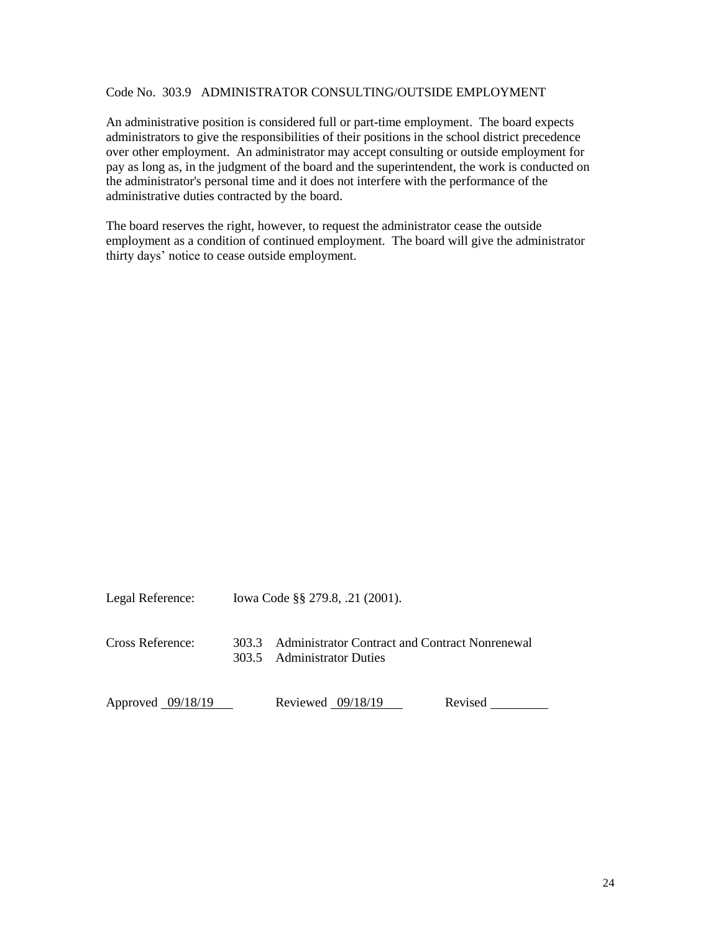# Code No. 303.9 ADMINISTRATOR CONSULTING/OUTSIDE EMPLOYMENT

An administrative position is considered full or part-time employment. The board expects administrators to give the responsibilities of their positions in the school district precedence over other employment. An administrator may accept consulting or outside employment for pay as long as, in the judgment of the board and the superintendent, the work is conducted on the administrator's personal time and it does not interfere with the performance of the administrative duties contracted by the board.

The board reserves the right, however, to request the administrator cease the outside employment as a condition of continued employment. The board will give the administrator thirty days' notice to cease outside employment.

| Legal Reference:  | Iowa Code §§ 279.8, .21 (2001). |                                                                                    |         |  |
|-------------------|---------------------------------|------------------------------------------------------------------------------------|---------|--|
| Cross Reference:  |                                 | 303.3 Administrator Contract and Contract Nonrenewal<br>303.5 Administrator Duties |         |  |
| Approved 09/18/19 |                                 | Reviewed $09/18/19$                                                                | Revised |  |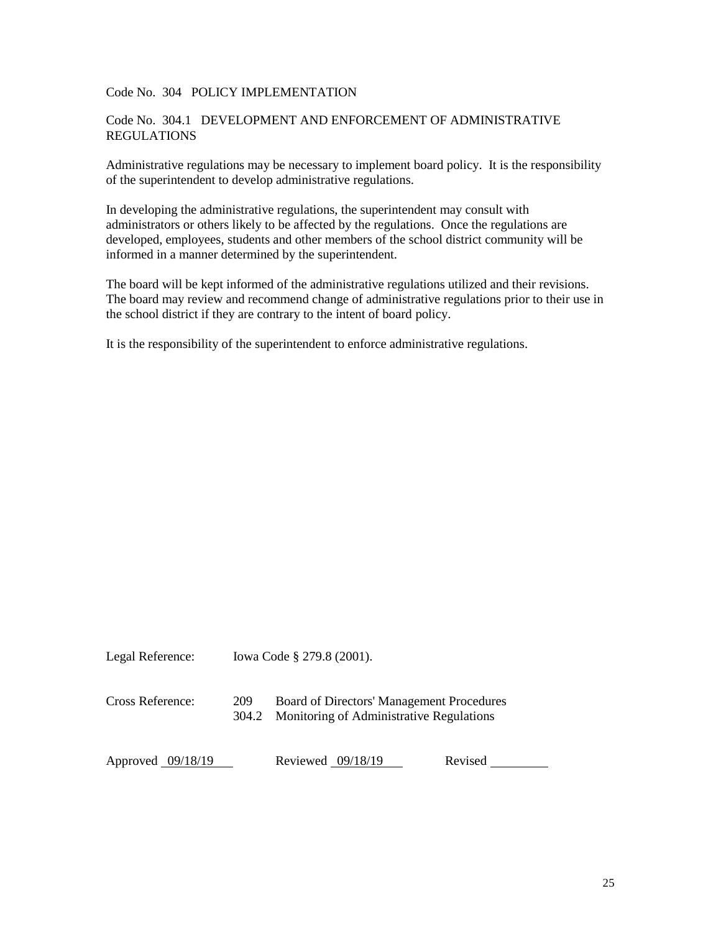# Code No. 304 POLICY IMPLEMENTATION

#### Code No. 304.1 DEVELOPMENT AND ENFORCEMENT OF ADMINISTRATIVE REGULATIONS

Administrative regulations may be necessary to implement board policy. It is the responsibility of the superintendent to develop administrative regulations.

In developing the administrative regulations, the superintendent may consult with administrators or others likely to be affected by the regulations. Once the regulations are developed, employees, students and other members of the school district community will be informed in a manner determined by the superintendent.

The board will be kept informed of the administrative regulations utilized and their revisions. The board may review and recommend change of administrative regulations prior to their use in the school district if they are contrary to the intent of board policy.

It is the responsibility of the superintendent to enforce administrative regulations.

Legal Reference: Iowa Code § 279.8 (2001).

Cross Reference: 209 Board of Directors' Management Procedures 304.2 Monitoring of Administrative Regulations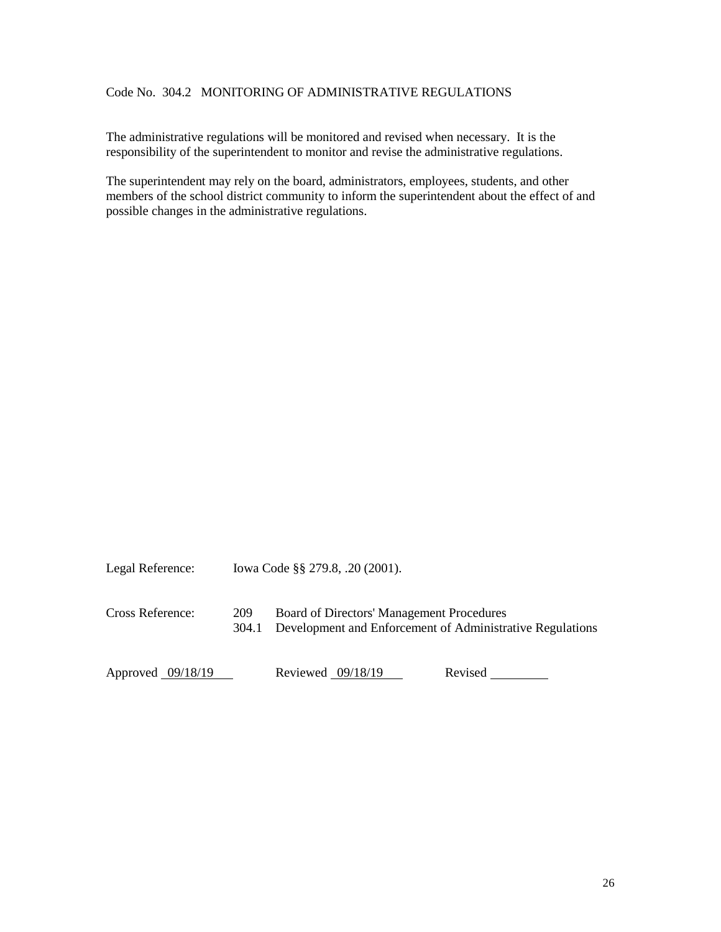# Code No. 304.2 MONITORING OF ADMINISTRATIVE REGULATIONS

The administrative regulations will be monitored and revised when necessary. It is the responsibility of the superintendent to monitor and revise the administrative regulations.

The superintendent may rely on the board, administrators, employees, students, and other members of the school district community to inform the superintendent about the effect of and possible changes in the administrative regulations.

Legal Reference: Iowa Code §§ 279.8, .20 (2001). Cross Reference: 209 Board of Directors' Management Procedures

304.1 Development and Enforcement of Administrative Regulations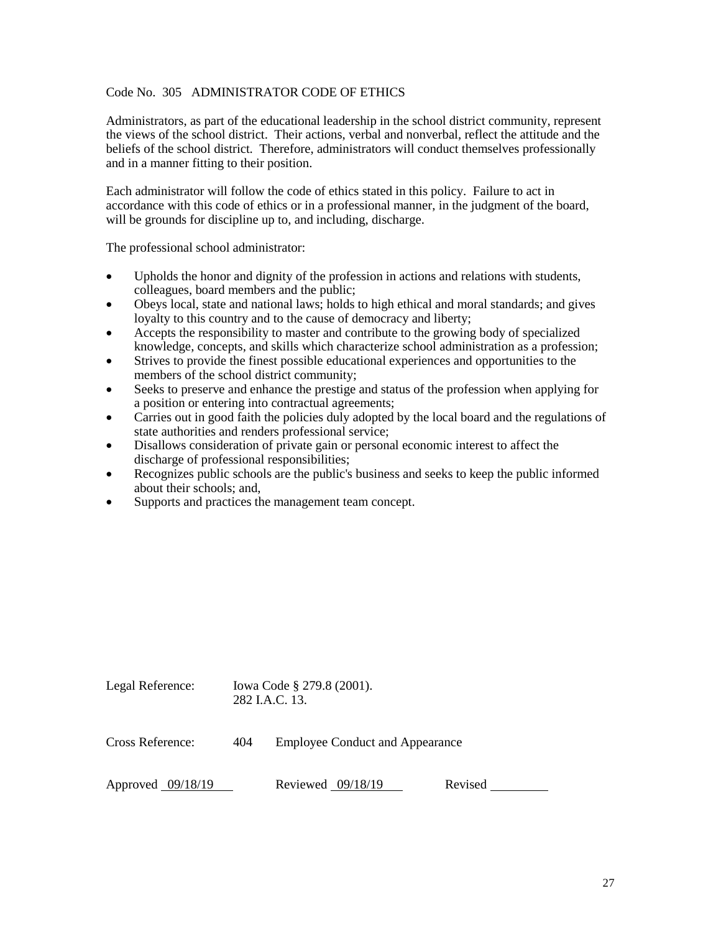#### Code No. 305 ADMINISTRATOR CODE OF ETHICS

Administrators, as part of the educational leadership in the school district community, represent the views of the school district. Their actions, verbal and nonverbal, reflect the attitude and the beliefs of the school district. Therefore, administrators will conduct themselves professionally and in a manner fitting to their position.

Each administrator will follow the code of ethics stated in this policy. Failure to act in accordance with this code of ethics or in a professional manner, in the judgment of the board, will be grounds for discipline up to, and including, discharge.

The professional school administrator:

- Upholds the honor and dignity of the profession in actions and relations with students, colleagues, board members and the public;
- Obeys local, state and national laws; holds to high ethical and moral standards; and gives loyalty to this country and to the cause of democracy and liberty;
- Accepts the responsibility to master and contribute to the growing body of specialized knowledge, concepts, and skills which characterize school administration as a profession;
- Strives to provide the finest possible educational experiences and opportunities to the members of the school district community;
- Seeks to preserve and enhance the prestige and status of the profession when applying for a position or entering into contractual agreements;
- Carries out in good faith the policies duly adopted by the local board and the regulations of state authorities and renders professional service;
- Disallows consideration of private gain or personal economic interest to affect the discharge of professional responsibilities;
- Recognizes public schools are the public's business and seeks to keep the public informed about their schools; and,
- Supports and practices the management team concept.

| Legal Reference:    | Iowa Code § 279.8 (2001).<br>282 J.A.C. 13. |                                        |         |  |
|---------------------|---------------------------------------------|----------------------------------------|---------|--|
| Cross Reference:    | 404                                         | <b>Employee Conduct and Appearance</b> |         |  |
| Approved $09/18/19$ |                                             | Reviewed $09/18/19$                    | Revised |  |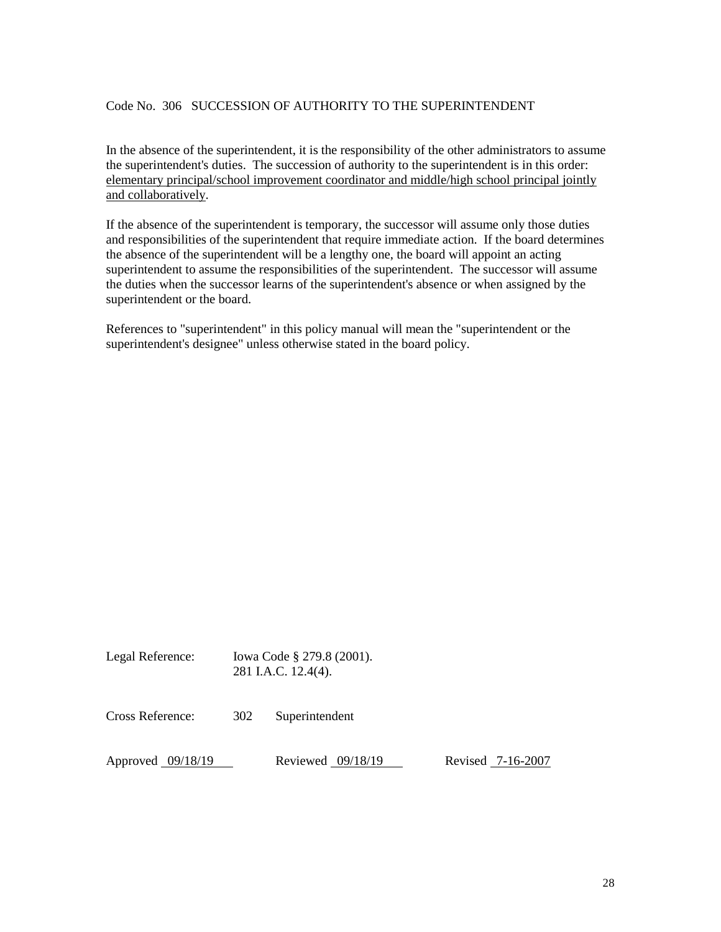### Code No. 306 SUCCESSION OF AUTHORITY TO THE SUPERINTENDENT

In the absence of the superintendent, it is the responsibility of the other administrators to assume the superintendent's duties. The succession of authority to the superintendent is in this order: elementary principal/school improvement coordinator and middle/high school principal jointly and collaboratively.

If the absence of the superintendent is temporary, the successor will assume only those duties and responsibilities of the superintendent that require immediate action. If the board determines the absence of the superintendent will be a lengthy one, the board will appoint an acting superintendent to assume the responsibilities of the superintendent. The successor will assume the duties when the successor learns of the superintendent's absence or when assigned by the superintendent or the board.

References to "superintendent" in this policy manual will mean the "superintendent or the superintendent's designee" unless otherwise stated in the board policy.

| Legal Reference: | Iowa Code § 279.8 (2001). |  |
|------------------|---------------------------|--|
|                  | 281 I.A.C. 12.4(4).       |  |

| Cross Reference:  | 302 | Superintendent      |                   |
|-------------------|-----|---------------------|-------------------|
| Approved 09/18/19 |     | Reviewed $09/18/19$ | Revised 7-16-2007 |